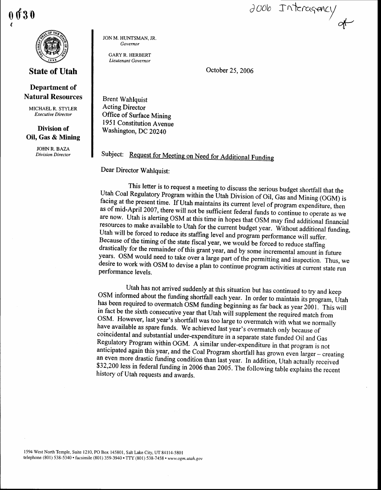0 { o<sup>t</sup> 3 0



## State of Utah

## Department of Natural Resources

MICHAEL R. STYLER Executive Director

## Division of Oil, Gas & Mining

JOHN R. BAZA Division Director JON M. HUNTSMAN. JR. Governor

GARYR. HERBERT Lieutenant Governor

October 25, 2006

J006 Interagency

 $\triangleleft$ 

Brent Wahlquist Acting Director Office of Surface Mining 1951 Constitution Avenue Washington, DC 20240

Subject: Request for Meeting on Need for Additional Funding

Dear Director Wahlquist:

This letter is to request a meeting to discuss the serious budget shortfall that the<br>Utah Coal Regulatory Program within the Utah Division of Oil, Gas and Mining (OGM) is<br>facing at the present time. If Utah maintains its c Utah will be forced to reduce its staffing level and program performance will suffer.<br>Because of the timing of the state fiscal year, we would be forced to reduce staffing drastically for the remainder of this grant year, and by some incremental amount in future<br>years. OSM would need to take over a large part of the permitting and inspection. Thus, we<br>desire to work with OSM to devise a plan

Utah has not arrived suddenly at this situation but has continued to try and keep<br>OSM informed about the funding shortfall each year. In order to maintain its program, Utah<br>has been required to overmatch OSM funding beginn \$32,200 less in federal funding in 2006 than 2005. The following table explains the recent history of Utah requests and awards.

1594 West North Temple, Suite 1210, PO Box 145801, Salt Lake City, UT 84114-5801 telephone (801) 538-5340 · facsimile (801) 359-3940 · TTY (801) 538-7458 · www.ogm.utah.gov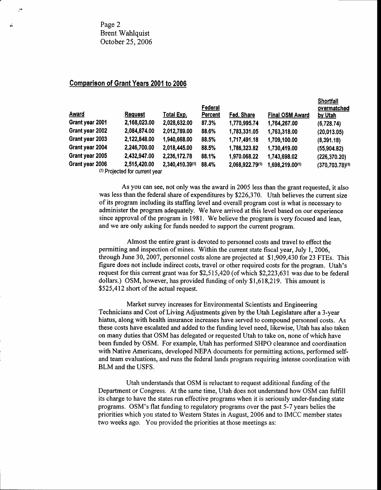Page 2 Brent Wahlquist October 25,2006

 $\mathcal{M}$ 

## Comparison of Grant Years 2001 to 2006

| <b>Award</b>    | <b>Request</b>                 | Total Exp.      | Federal<br>Percent | Fed. Share      | <b>Final OSM Award</b> | onortran<br>overmatched<br>by Utah |
|-----------------|--------------------------------|-----------------|--------------------|-----------------|------------------------|------------------------------------|
| Grant year 2001 | 2,168,023.00                   | 2,028,632.00    | 87.3%              | 1,770,995.74    | 1,764,267.00           | (6,728.74)                         |
| Grant year 2002 | 2,084,874.00                   | 2,012,789.00    | 88.6%              | 1,783,331.05    | 1,763,318.00           | (20,013.05)                        |
| Grant year 2003 | 2,122,848.00                   | 1,940,668.00    | 88.5%              | 1,717,491.18    | 1,709,100.00           | (8,391.18)                         |
| Grant year 2004 | 2,246,700.00                   | 2,018,445.00    | 88.5%              | 1,786,323.82    | 1,730,419.00           | (55,904.82)                        |
| Grant year 2005 | 2,432,947.00                   | 2,236,172.78    | 88.1%              | 1,970.068.22    | 1,743,698.02           | (226, 370.20)                      |
| Grant year 2006 | 2,515,420.00                   | 2,340,410.39(1) | 88.4%              | 2,068,922.79(1) | 1,698,219.00(1)        | $(370, 703.78)^{(1)}$              |
|                 | (1) Projected for current year |                 |                    |                 |                        |                                    |

Shoftfall

As you can see, not only was the award in 2005 less than the grant requested, it also was less than the federal share of expenditures by \$226,370. Utah believes the current size of its program including its staffrng level and overall program cost is what is necessary to administer the program adequately. We have arrived at this level based on our experience since approval of the program in 1981. We believe the program is very focused and lean, and we are only asking for funds needed to support the current program.

Almost the entire grant is devoted to personnel costs and travel to effect the permitting and inspection of mines. Within the current state fiscal year, July 1, 2006, through June 30,2007, personnel costs alone are projected at \$1,909,430 for 23 FTEs. This figure does not include indirect costs, travel or other required costs for the program. Utah's request for this current grant was for \$2,515,420 (of which \$2,223,631 was due to be federal dollars.) OSM, however, has provided funding of only \$1,618,219. This amount is \$525,412 short of the actual request.

Market survey increases for Environmental Scientists and Engineering Technicians and Cost of Living Adjustments given by the Utah Legislature after a3-year hiatus, along with health insurance increases have served to compound personnel costs. As these costs have escalated and added to the funding level need, likewise, Utah has also taken on many duties that OSM has delegated or requested Utah to take on, none of which have been funded by OSM. For example, Utah has performed SHPO clearance and coordination with Native Americans, developed NEPA documents for permitting actions, performed selfand team evaluations, and runs the federal lands program requiring intense coordination with BLM and the USFS.

Utah understands that OSM is reluctant to request additional funding of the Department or Congress. At the same time, Utah does not understand how OSM can fulfill its charge to have the states run effective programs when it is seriously under-funding state programs. OSM's flat funding to regulatory programs over the past 5-7 years belies the priorities which you stated to Western States in August,2006 and to IMCC member states two weeks ago. You provided the priorities at those meetings as: